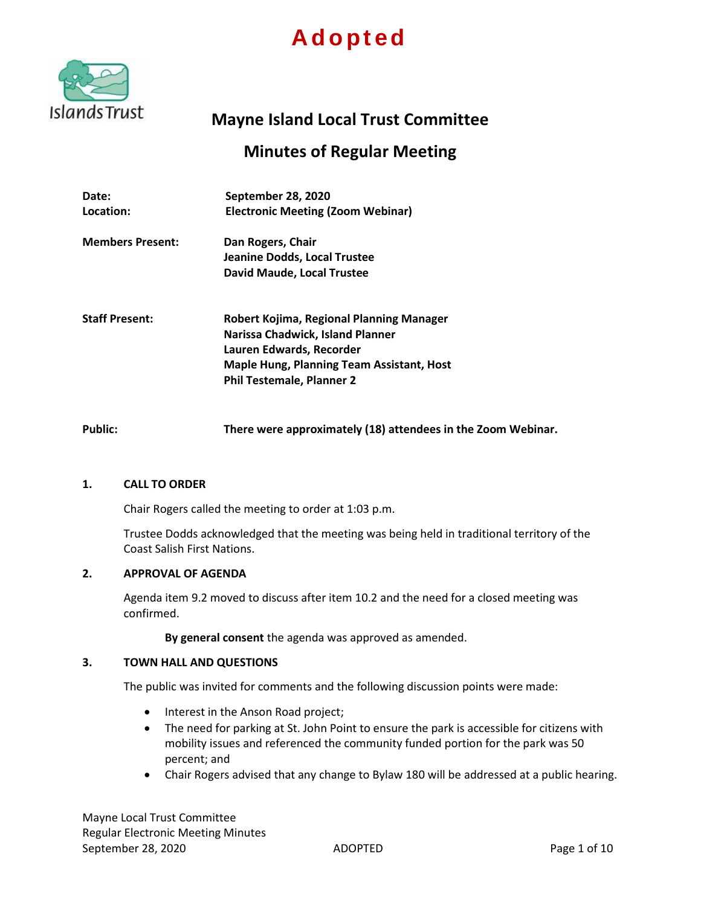# **A d o p t e d**



# **Mayne Island Local Trust Committee**

# **Minutes of Regular Meeting**

| Date:<br>Location:      | September 28, 2020<br><b>Electronic Meeting (Zoom Webinar)</b>                                                                                                                                   |
|-------------------------|--------------------------------------------------------------------------------------------------------------------------------------------------------------------------------------------------|
| <b>Members Present:</b> | Dan Rogers, Chair<br>Jeanine Dodds, Local Trustee<br>David Maude, Local Trustee                                                                                                                  |
| <b>Staff Present:</b>   | Robert Kojima, Regional Planning Manager<br>Narissa Chadwick, Island Planner<br>Lauren Edwards, Recorder<br><b>Maple Hung, Planning Team Assistant, Host</b><br><b>Phil Testemale, Planner 2</b> |

**Public: There were approximately (18) attendees in the Zoom Webinar.**

# **1. CALL TO ORDER**

Chair Rogers called the meeting to order at 1:03 p.m.

Trustee Dodds acknowledged that the meeting was being held in traditional territory of the Coast Salish First Nations.

# **2. APPROVAL OF AGENDA**

Agenda item 9.2 moved to discuss after item 10.2 and the need for a closed meeting was confirmed.

**By general consent** the agenda was approved as amended.

#### **3. TOWN HALL AND QUESTIONS**

The public was invited for comments and the following discussion points were made:

- Interest in the Anson Road project;
- The need for parking at St. John Point to ensure the park is accessible for citizens with mobility issues and referenced the community funded portion for the park was 50 percent; and
- Chair Rogers advised that any change to Bylaw 180 will be addressed at a public hearing.

Mayne Local Trust Committee Regular Electronic Meeting Minutes September 28, 2020 **ADOPTED Page 1 of 10**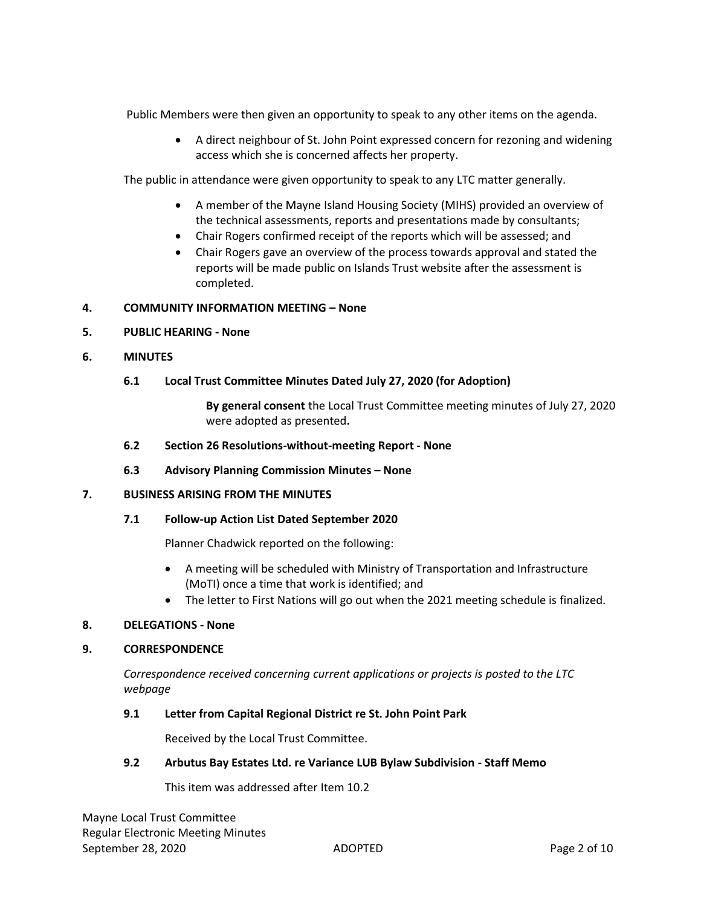Public Members were then given an opportunity to speak to any other items on the agenda.

 A direct neighbour of St. John Point expressed concern for rezoning and widening access which she is concerned affects her property.

The public in attendance were given opportunity to speak to any LTC matter generally.

- A member of the Mayne Island Housing Society (MIHS) provided an overview of the technical assessments, reports and presentations made by consultants;
- Chair Rogers confirmed receipt of the reports which will be assessed; and
- Chair Rogers gave an overview of the process towards approval and stated the reports will be made public on Islands Trust website after the assessment is completed.

# **4. COMMUNITY INFORMATION MEETING – None**

- **5. PUBLIC HEARING - None**
- **6. MINUTES**

# **6.1 Local Trust Committee Minutes Dated July 27, 2020 (for Adoption)**

**By general consent** the Local Trust Committee meeting minutes of July 27, 2020 were adopted as presented**.**

- **6.2 Section 26 Resolutions-without-meeting Report - None**
- **6.3 Advisory Planning Commission Minutes – None**

# **7. BUSINESS ARISING FROM THE MINUTES**

# **7.1 Follow-up Action List Dated September 2020**

Planner Chadwick reported on the following:

- A meeting will be scheduled with Ministry of Transportation and Infrastructure (MoTI) once a time that work is identified; and
- The letter to First Nations will go out when the 2021 meeting schedule is finalized.

# **8. DELEGATIONS - None**

# **9. CORRESPONDENCE**

*Correspondence received concerning current applications or projects is posted to the LTC webpage*

# **9.1 Letter from Capital Regional District re St. John Point Park**

Received by the Local Trust Committee.

# **9.2 Arbutus Bay Estates Ltd. re Variance LUB Bylaw Subdivision - Staff Memo**

This item was addressed after Item 10.2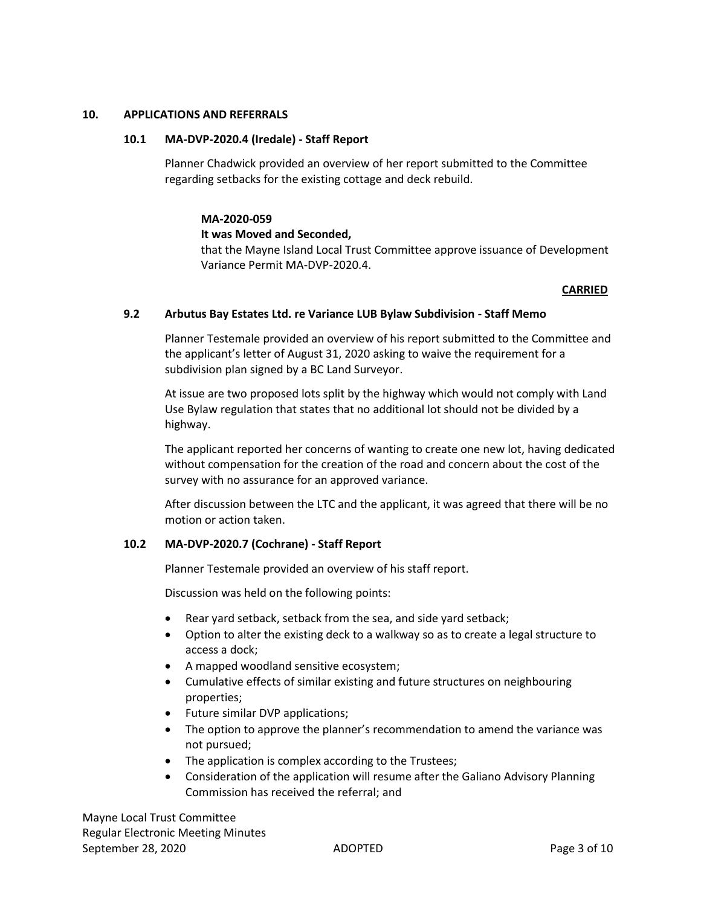# **10. APPLICATIONS AND REFERRALS**

# **10.1 MA-DVP-2020.4 (Iredale) - Staff Report**

Planner Chadwick provided an overview of her report submitted to the Committee regarding setbacks for the existing cottage and deck rebuild.

#### **MA-2020-059**

#### **It was Moved and Seconded,**

that the Mayne Island Local Trust Committee approve issuance of Development Variance Permit MA-DVP-2020.4.

# **CARRIED**

#### **9.2 Arbutus Bay Estates Ltd. re Variance LUB Bylaw Subdivision - Staff Memo**

Planner Testemale provided an overview of his report submitted to the Committee and the applicant's letter of August 31, 2020 asking to waive the requirement for a subdivision plan signed by a BC Land Surveyor.

At issue are two proposed lots split by the highway which would not comply with Land Use Bylaw regulation that states that no additional lot should not be divided by a highway.

The applicant reported her concerns of wanting to create one new lot, having dedicated without compensation for the creation of the road and concern about the cost of the survey with no assurance for an approved variance.

After discussion between the LTC and the applicant, it was agreed that there will be no motion or action taken.

# **10.2 MA-DVP-2020.7 (Cochrane) - Staff Report**

Planner Testemale provided an overview of his staff report.

Discussion was held on the following points:

- Rear yard setback, setback from the sea, and side yard setback;
- Option to alter the existing deck to a walkway so as to create a legal structure to access a dock;
- A mapped woodland sensitive ecosystem;
- Cumulative effects of similar existing and future structures on neighbouring properties;
- Future similar DVP applications;
- The option to approve the planner's recommendation to amend the variance was not pursued;
- The application is complex according to the Trustees;
- Consideration of the application will resume after the Galiano Advisory Planning Commission has received the referral; and

Mayne Local Trust Committee Regular Electronic Meeting Minutes September 28, 2020 **ADOPTED** ADOPTED **Page 3 of 10**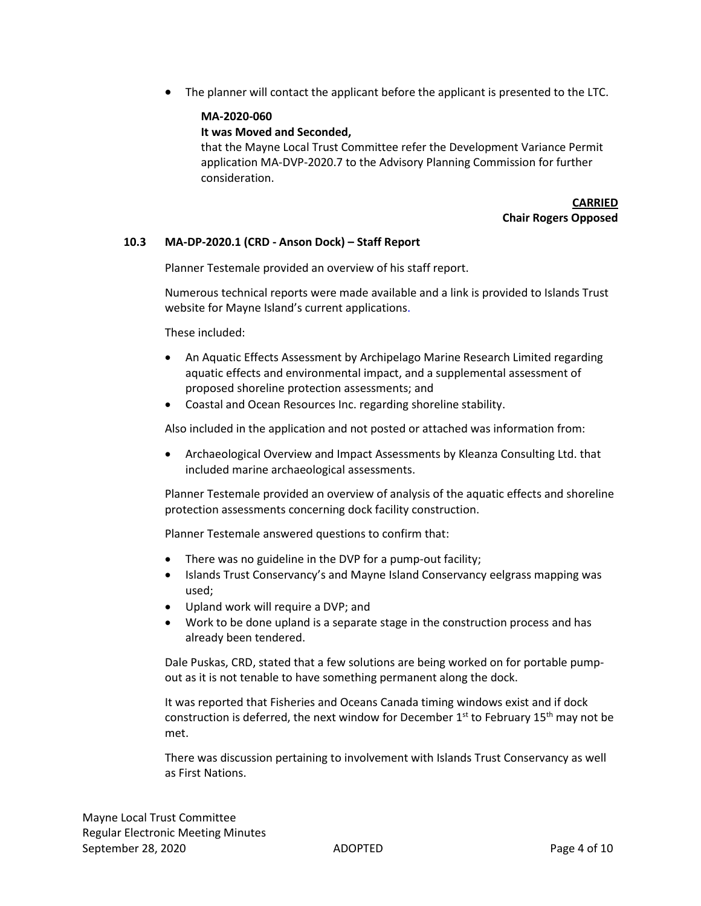The planner will contact the applicant before the applicant is presented to the LTC.

# **MA-2020-060**

# **It was Moved and Seconded,**

that the Mayne Local Trust Committee refer the Development Variance Permit application MA-DVP-2020.7 to the Advisory Planning Commission for further consideration.

> **CARRIED Chair Rogers Opposed**

# **10.3 MA-DP-2020.1 (CRD - Anson Dock) – Staff Report**

Planner Testemale provided an overview of his staff report.

Numerous technical reports were made available and a link is provided to Islands Trust website for Mayne Island's current applications.

These included:

- An Aquatic Effects Assessment by Archipelago Marine Research Limited regarding aquatic effects and environmental impact, and a supplemental assessment of proposed shoreline protection assessments; and
- Coastal and Ocean Resources Inc. regarding shoreline stability.

Also included in the application and not posted or attached was information from:

 Archaeological Overview and Impact Assessments by Kleanza Consulting Ltd. that included marine archaeological assessments.

Planner Testemale provided an overview of analysis of the aquatic effects and shoreline protection assessments concerning dock facility construction.

Planner Testemale answered questions to confirm that:

- There was no guideline in the DVP for a pump-out facility;
- Islands Trust Conservancy's and Mayne Island Conservancy eelgrass mapping was used;
- Upland work will require a DVP; and
- Work to be done upland is a separate stage in the construction process and has already been tendered.

Dale Puskas, CRD, stated that a few solutions are being worked on for portable pumpout as it is not tenable to have something permanent along the dock.

It was reported that Fisheries and Oceans Canada timing windows exist and if dock construction is deferred, the next window for December  $1<sup>st</sup>$  to February  $15<sup>th</sup>$  may not be met.

There was discussion pertaining to involvement with Islands Trust Conservancy as well as First Nations.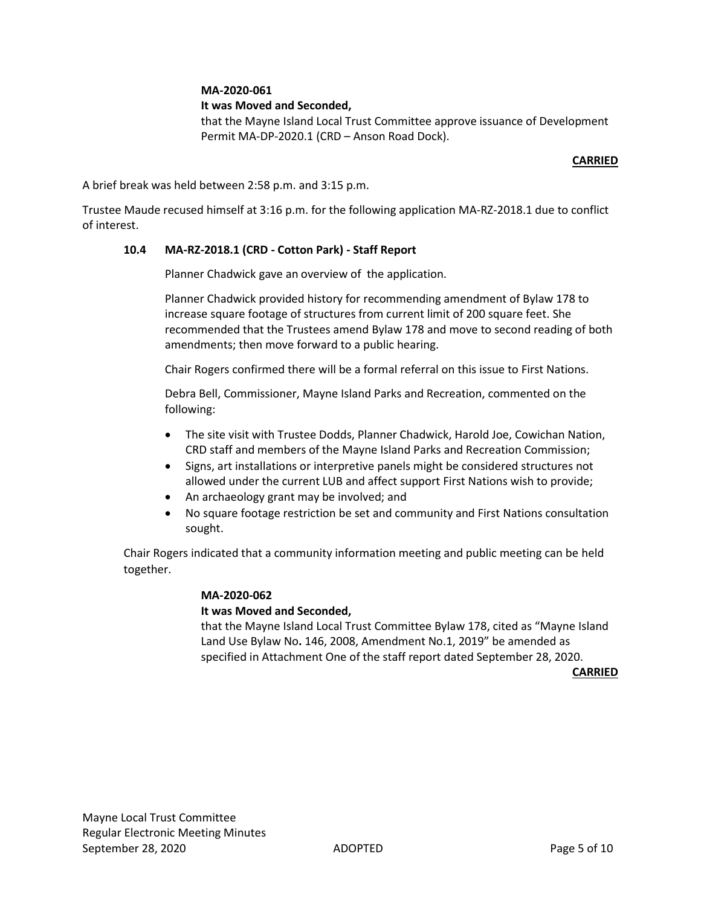# **MA-2020-061**

# **It was Moved and Seconded,**

that the Mayne Island Local Trust Committee approve issuance of Development Permit MA-DP-2020.1 (CRD – Anson Road Dock).

### **CARRIED**

A brief break was held between 2:58 p.m. and 3:15 p.m.

Trustee Maude recused himself at 3:16 p.m. for the following application MA-RZ-2018.1 due to conflict of interest.

# **10.4 MA-RZ-2018.1 (CRD - Cotton Park) - Staff Report**

Planner Chadwick gave an overview of the application.

Planner Chadwick provided history for recommending amendment of Bylaw 178 to increase square footage of structures from current limit of 200 square feet. She recommended that the Trustees amend Bylaw 178 and move to second reading of both amendments; then move forward to a public hearing.

Chair Rogers confirmed there will be a formal referral on this issue to First Nations.

Debra Bell, Commissioner, Mayne Island Parks and Recreation, commented on the following:

- The site visit with Trustee Dodds, Planner Chadwick, Harold Joe, Cowichan Nation, CRD staff and members of the Mayne Island Parks and Recreation Commission;
- Signs, art installations or interpretive panels might be considered structures not allowed under the current LUB and affect support First Nations wish to provide;
- An archaeology grant may be involved; and
- No square footage restriction be set and community and First Nations consultation sought.

Chair Rogers indicated that a community information meeting and public meeting can be held together.

# **MA-2020-062**

# **It was Moved and Seconded,**

that the Mayne Island Local Trust Committee Bylaw 178, cited as "Mayne Island Land Use Bylaw No**.** 146, 2008, Amendment No.1, 2019" be amended as specified in Attachment One of the staff report dated September 28, 2020.

**CARRIED**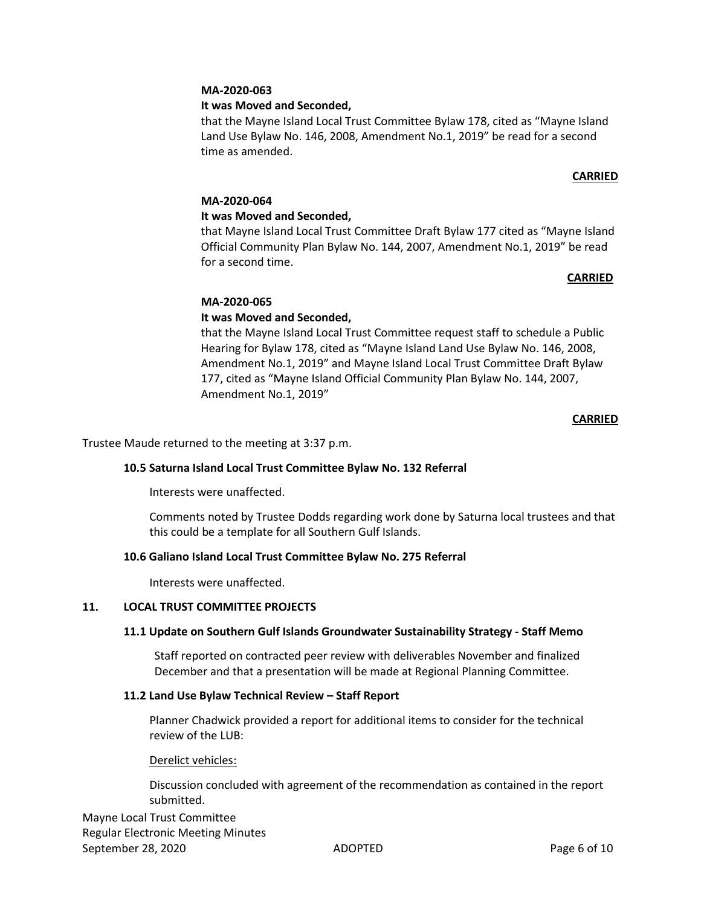# **MA-2020-063**

# **It was Moved and Seconded,**

that the Mayne Island Local Trust Committee Bylaw 178, cited as "Mayne Island Land Use Bylaw No. 146, 2008, Amendment No.1, 2019" be read for a second time as amended.

# **CARRIED**

# **MA-2020-064**

# **It was Moved and Seconded,**

that Mayne Island Local Trust Committee Draft Bylaw 177 cited as "Mayne Island Official Community Plan Bylaw No. 144, 2007, Amendment No.1, 2019" be read for a second time.

# **CARRIED**

# **MA-2020-065**

# **It was Moved and Seconded,**

that the Mayne Island Local Trust Committee request staff to schedule a Public Hearing for Bylaw 178, cited as "Mayne Island Land Use Bylaw No. 146, 2008, Amendment No.1, 2019" and Mayne Island Local Trust Committee Draft Bylaw 177, cited as "Mayne Island Official Community Plan Bylaw No. 144, 2007, Amendment No.1, 2019"

# **CARRIED**

Trustee Maude returned to the meeting at 3:37 p.m.

# **10.5 Saturna Island Local Trust Committee Bylaw No. 132 Referral**

Interests were unaffected.

Comments noted by Trustee Dodds regarding work done by Saturna local trustees and that this could be a template for all Southern Gulf Islands.

# **10.6 Galiano Island Local Trust Committee Bylaw No. 275 Referral**

Interests were unaffected.

# **11. LOCAL TRUST COMMITTEE PROJECTS**

# **11.1 Update on Southern Gulf Islands Groundwater Sustainability Strategy - Staff Memo**

Staff reported on contracted peer review with deliverables November and finalized December and that a presentation will be made at Regional Planning Committee.

# **11.2 Land Use Bylaw Technical Review – Staff Report**

Planner Chadwick provided a report for additional items to consider for the technical review of the LUB:

# Derelict vehicles:

Discussion concluded with agreement of the recommendation as contained in the report submitted.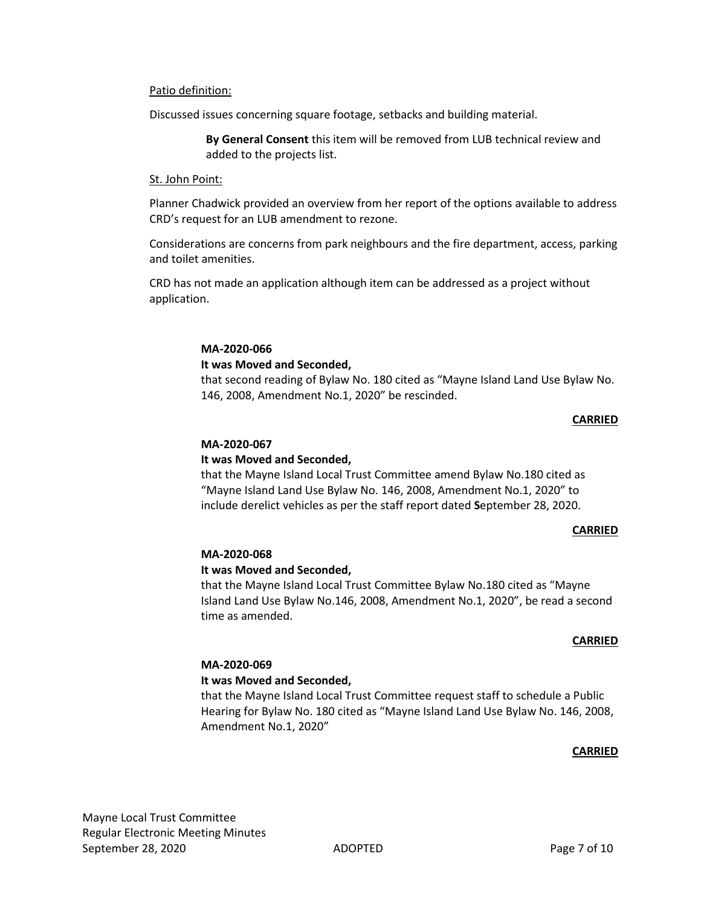#### Patio definition:

Discussed issues concerning square footage, setbacks and building material.

**By General Consent** this item will be removed from LUB technical review and added to the projects list.

#### St. John Point:

Planner Chadwick provided an overview from her report of the options available to address CRD's request for an LUB amendment to rezone.

Considerations are concerns from park neighbours and the fire department, access, parking and toilet amenities.

CRD has not made an application although item can be addressed as a project without application.

#### **MA-2020-066 It was Moved and Seconded,**

that second reading of Bylaw No. 180 cited as "Mayne Island Land Use Bylaw No. 146, 2008, Amendment No.1, 2020" be rescinded.

#### **CARRIED**

#### **MA-2020-067**

# **It was Moved and Seconded,**

that the Mayne Island Local Trust Committee amend Bylaw No.180 cited as "Mayne Island Land Use Bylaw No. 146, 2008, Amendment No.1, 2020" to include derelict vehicles as per the staff report dated **S**eptember 28, 2020.

#### **CARRIED**

# **MA-2020-068**

#### **It was Moved and Seconded,**

that the Mayne Island Local Trust Committee Bylaw No.180 cited as "Mayne Island Land Use Bylaw No.146, 2008, Amendment No.1, 2020", be read a second time as amended.

#### **CARRIED**

# **MA-2020-069**

# **It was Moved and Seconded,**

that the Mayne Island Local Trust Committee request staff to schedule a Public Hearing for Bylaw No. 180 cited as "Mayne Island Land Use Bylaw No. 146, 2008, Amendment No.1, 2020"

#### **CARRIED**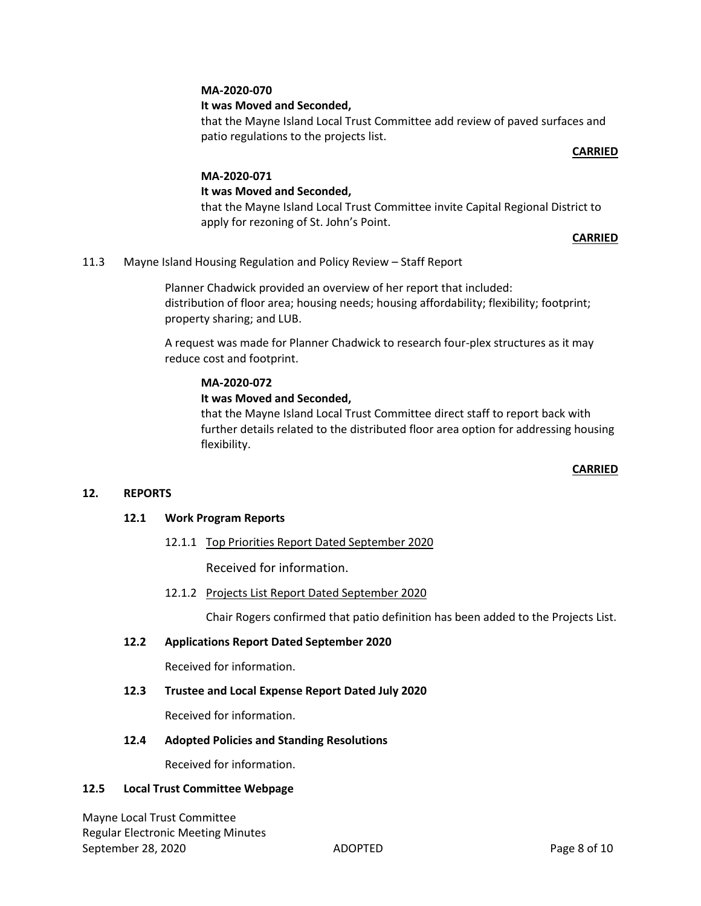# **MA-2020-070**

# **It was Moved and Seconded,**

that the Mayne Island Local Trust Committee add review of paved surfaces and patio regulations to the projects list.

#### **CARRIED**

# **MA-2020-071**

# **It was Moved and Seconded,**

that the Mayne Island Local Trust Committee invite Capital Regional District to apply for rezoning of St. John's Point.

# **CARRIED**

11.3 Mayne Island Housing Regulation and Policy Review – Staff Report

Planner Chadwick provided an overview of her report that included: distribution of floor area; housing needs; housing affordability; flexibility; footprint; property sharing; and LUB.

A request was made for Planner Chadwick to research four-plex structures as it may reduce cost and footprint.

# **MA-2020-072**

# **It was Moved and Seconded,**

that the Mayne Island Local Trust Committee direct staff to report back with further details related to the distributed floor area option for addressing housing flexibility.

# **CARRIED**

# **12. REPORTS**

# **12.1 Work Program Reports**

12.1.1 Top Priorities Report Dated September 2020

Received for information.

12.1.2 Projects List Report Dated September 2020

Chair Rogers confirmed that patio definition has been added to the Projects List.

# **12.2 Applications Report Dated September 2020**

Received for information.

# **12.3 Trustee and Local Expense Report Dated July 2020**

Received for information.

# **12.4 Adopted Policies and Standing Resolutions**

Received for information.

# **12.5 Local Trust Committee Webpage**

Mayne Local Trust Committee Regular Electronic Meeting Minutes September 28, 2020 ADOPTED Page 8 of 10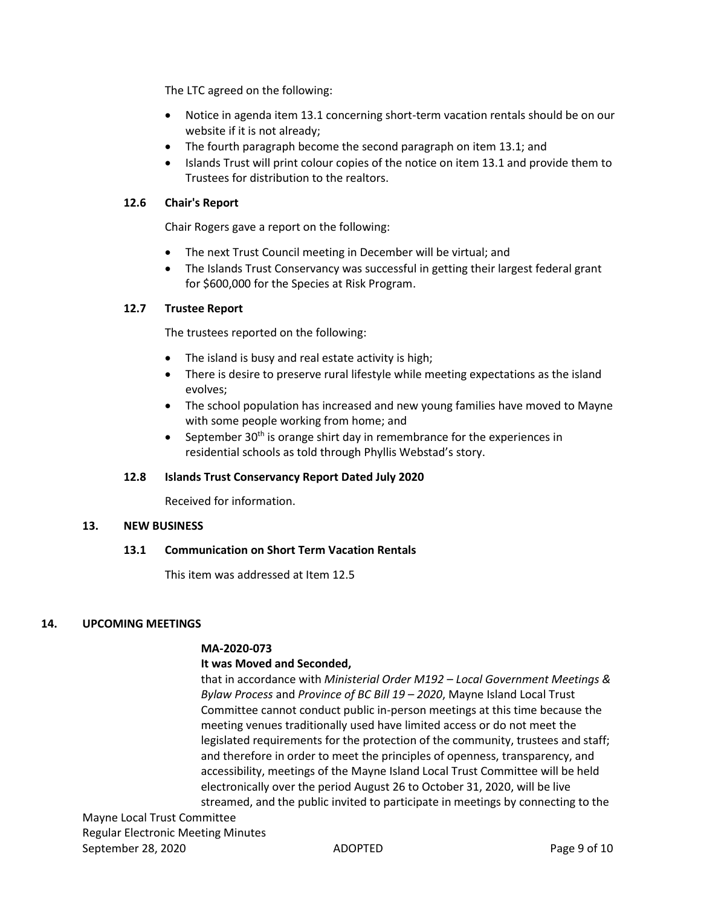The LTC agreed on the following:

- Notice in agenda item 13.1 concerning short-term vacation rentals should be on our website if it is not already;
- The fourth paragraph become the second paragraph on item 13.1; and
- Islands Trust will print colour copies of the notice on item 13.1 and provide them to Trustees for distribution to the realtors.

# **12.6 Chair's Report**

Chair Rogers gave a report on the following:

- The next Trust Council meeting in December will be virtual; and
- The Islands Trust Conservancy was successful in getting their largest federal grant for \$600,000 for the Species at Risk Program.

# **12.7 Trustee Report**

The trustees reported on the following:

- The island is busy and real estate activity is high;
- There is desire to preserve rural lifestyle while meeting expectations as the island evolves;
- The school population has increased and new young families have moved to Mayne with some people working from home; and
- **•** September 30<sup>th</sup> is orange shirt day in remembrance for the experiences in residential schools as told through Phyllis Webstad's story.

# **12.8 Islands Trust Conservancy Report Dated July 2020**

Received for information.

# **13. NEW BUSINESS**

# **13.1 Communication on Short Term Vacation Rentals**

This item was addressed at Item 12.5

# **14. UPCOMING MEETINGS**

# **MA-2020-073**

# **It was Moved and Seconded,**

that in accordance with *Ministerial Order M192 – Local Government Meetings & Bylaw Process* and *Province of BC Bill 19 – 2020*, Mayne Island Local Trust Committee cannot conduct public in-person meetings at this time because the meeting venues traditionally used have limited access or do not meet the legislated requirements for the protection of the community, trustees and staff; and therefore in order to meet the principles of openness, transparency, and accessibility, meetings of the Mayne Island Local Trust Committee will be held electronically over the period August 26 to October 31, 2020, will be live streamed, and the public invited to participate in meetings by connecting to the